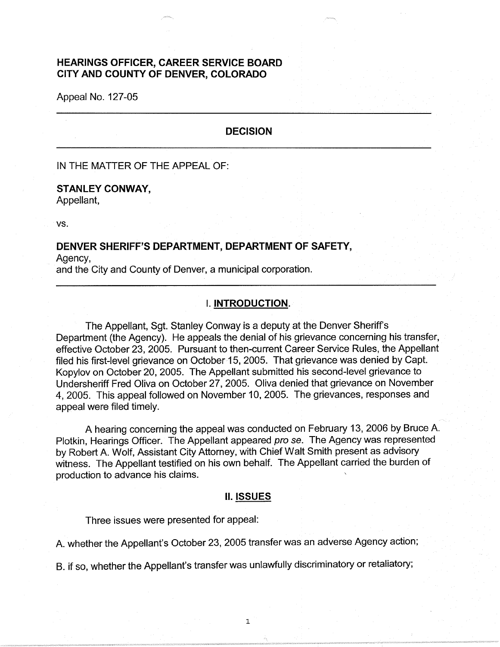# **HEARINGS OFFICER, CAREER SERVICE BOARD CITY AND COUNTY OF DENVER, COLORADO**

Appeal No. 127-05

#### **DECISION**

IN THE MATTER OF THE APPEAL OF:

# **STANLEY CONWAY,**

Appellant,

vs.

# **DENVER SHERIFF'S DEPARTMENT, DEPARTMENT OF SAFETY,**

Agency,

and the City and County of Denver, a municipal corporation.

## I. **INTRODUCTION.**

The Appellant, Sgt. Stanley Conway is a deputy at the Denver Sheriff's Department (the Agency). He appeals the denial of his grievance concerning his transfer, effective October 23, 2005. Pursuant to then-current Career Service Rules, the Appellant filed his first-level grievance on October 15, 2005. That grievance was denied by Capt. Kopylov on October 20, 2005. The Appellant submitted his second-level grievance to Undersheriff Fred Oliva on October 27, 2005. Oliva denied that grievance on November 4, 2005. This appeal followed on November 10, 2005. The grievances, responses and appeal were filed timely.

A hearing concerning the appeal was conducted on February 13, 2006 by Bruce A. Plotkin, Hearings Officer. The Appellant appeared pro se. The Agency was represented by Robert A. Wolf, Assistant City Attorney, with Chief Walt Smith present as advisory witness. The Appellant testified on his own behalf. The Appellant carried the burden of production to advance his claims.

#### II. **ISSUES**

Three issues were presented for appeal:

A. whether the Appellant's October 23, 2005 transfer was an adverse Agency action;

B. if so, whether the Appellant's transfer was unlawfully discriminatory or retaliatory;